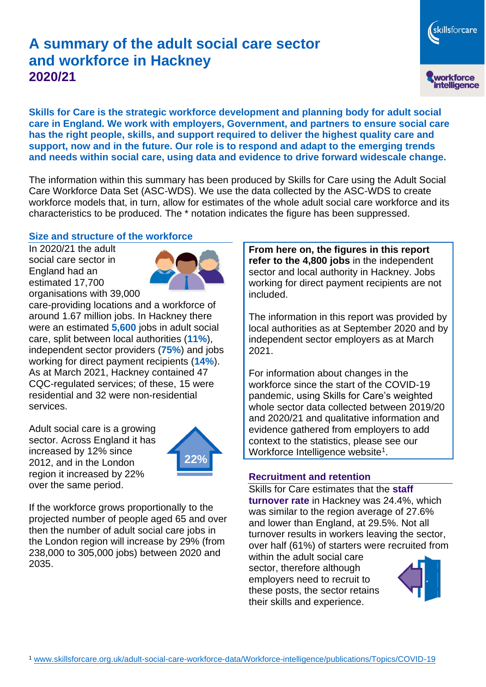# **A summary of the adult social care sector and workforce in Hackney 2020/21**

**Skills for Care is the strategic workforce development and planning body for adult social care in England. We work with employers, Government, and partners to ensure social care has the right people, skills, and support required to deliver the highest quality care and support, now and in the future. Our role is to respond and adapt to the emerging trends and needs within social care, using data and evidence to drive forward widescale change.**

The information within this summary has been produced by Skills for Care using the Adult Social Care Workforce Data Set (ASC-WDS). We use the data collected by the ASC-WDS to create workforce models that, in turn, allow for estimates of the whole adult social care workforce and its characteristics to be produced. The \* notation indicates the figure has been suppressed.

#### **Size and structure of the workforce**

In 2020/21 the adult social care sector in England had an estimated 17,700 organisations with 39,000



care-providing locations and a workforce of around 1.67 million jobs. In Hackney there were an estimated **5,600** jobs in adult social care, split between local authorities (**11%**), independent sector providers (**75%**) and jobs working for direct payment recipients (**14%**). As at March 2021, Hackney contained 47 CQC-regulated services; of these, 15 were residential and 32 were non-residential services.

Adult social care is a growing sector. Across England it has increased by 12% since 2012, and in the London region it increased by 22% over the same period.



If the workforce grows proportionally to the projected number of people aged 65 and over then the number of adult social care jobs in the London region will increase by 29% (from 238,000 to 305,000 jobs) between 2020 and 2035.

**From here on, the figures in this report refer to the 4,800 jobs** in the independent sector and local authority in Hackney. Jobs working for direct payment recipients are not included.

The information in this report was provided by local authorities as at September 2020 and by independent sector employers as at March 2021.

For information about changes in the workforce since the start of the COVID-19 pandemic, using Skills for Care's weighted whole sector data collected between 2019/20 and 2020/21 and qualitative information and evidence gathered from employers to add context to the statistics, please see our Workforce Intelligence website<sup>1</sup>.

#### **Recruitment and retention**

Skills for Care estimates that the **staff turnover rate** in Hackney was 24.4%, which was similar to the region average of 27.6% and lower than England, at 29.5%. Not all turnover results in workers leaving the sector, over half (61%) of starters were recruited from

within the adult social care sector, therefore although employers need to recruit to these posts, the sector retains their skills and experience.



skillsforcare

workforce<br>intelligence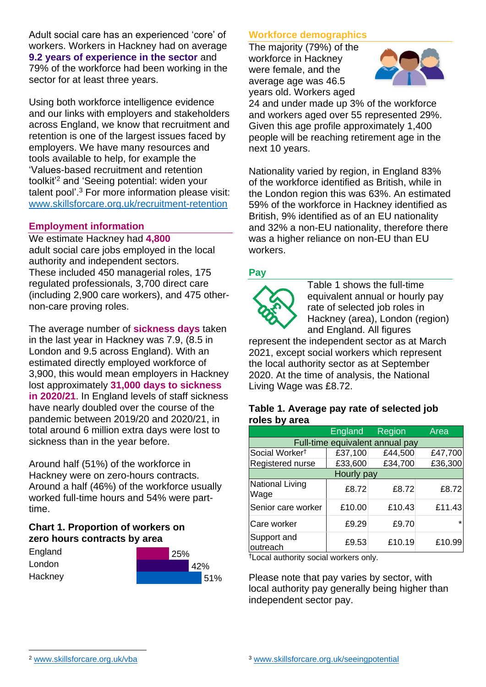Adult social care has an experienced 'core' of workers. Workers in Hackney had on average **9.2 years of experience in the sector** and 79% of the workforce had been working in the sector for at least three years.

Using both workforce intelligence evidence and our links with employers and stakeholders across England, we know that recruitment and retention is one of the largest issues faced by employers. We have many resources and tools available to help, for example the 'Values-based recruitment and retention toolkit'<sup>2</sup> and 'Seeing potential: widen your talent pool'. <sup>3</sup> For more information please visit: [www.skillsforcare.org.uk/recruitment-retention](http://www.skillsforcare.org.uk/recruitment-retention)

#### **Employment information**

We estimate Hackney had **4,800** adult social care jobs employed in the local authority and independent sectors. These included 450 managerial roles, 175 regulated professionals, 3,700 direct care (including 2,900 care workers), and 475 othernon-care proving roles.

The average number of **sickness days** taken in the last year in Hackney was 7.9, (8.5 in London and 9.5 across England). With an estimated directly employed workforce of 3,900, this would mean employers in Hackney lost approximately **31,000 days to sickness in 2020/21**. In England levels of staff sickness have nearly doubled over the course of the pandemic between 2019/20 and 2020/21, in total around 6 million extra days were lost to sickness than in the year before.

Around half (51%) of the workforce in Hackney were on zero-hours contracts. Around a half (46%) of the workforce usually worked full-time hours and 54% were parttime.

### **Chart 1. Proportion of workers on zero hours contracts by area**

| England | 25% |     |     |
|---------|-----|-----|-----|
| London  |     | 42% |     |
| Hackney |     |     | 51% |

### **Workforce demographics**

The majority (79%) of the workforce in Hackney were female, and the average age was 46.5 years old. Workers aged



24 and under made up 3% of the workforce and workers aged over 55 represented 29%. Given this age profile approximately 1,400 people will be reaching retirement age in the next 10 years.

Nationality varied by region, in England 83% of the workforce identified as British, while in the London region this was 63%. An estimated 59% of the workforce in Hackney identified as British, 9% identified as of an EU nationality and 32% a non-EU nationality, therefore there was a higher reliance on non-EU than EU workers.

### **Pay**



Table 1 shows the full-time equivalent annual or hourly pay rate of selected job roles in Hackney (area), London (region) and England. All figures

represent the independent sector as at March 2021, except social workers which represent the local authority sector as at September 2020. At the time of analysis, the National Living Wage was £8.72.

#### **Table 1. Average pay rate of selected job roles by area**

|                                 | <b>England</b> | Region  | Area    |  |  |
|---------------------------------|----------------|---------|---------|--|--|
| Full-time equivalent annual pay |                |         |         |  |  |
| Social Worker <sup>t</sup>      | £37,100        | £44,500 | £47,700 |  |  |
| Registered nurse                | £33,600        | £34,700 | £36,300 |  |  |
| Hourly pay                      |                |         |         |  |  |
| National Living<br>Wage         | £8.72          | £8.72   | £8.72   |  |  |
| Senior care worker              | £10.00         | £10.43  | £11.43  |  |  |
| Care worker                     | £9.29          | £9.70   |         |  |  |
| Support and<br>outreach         | £9.53          | £10.19  | £10.99  |  |  |

†Local authority social workers only.

Please note that pay varies by sector, with local authority pay generally being higher than independent sector pay.